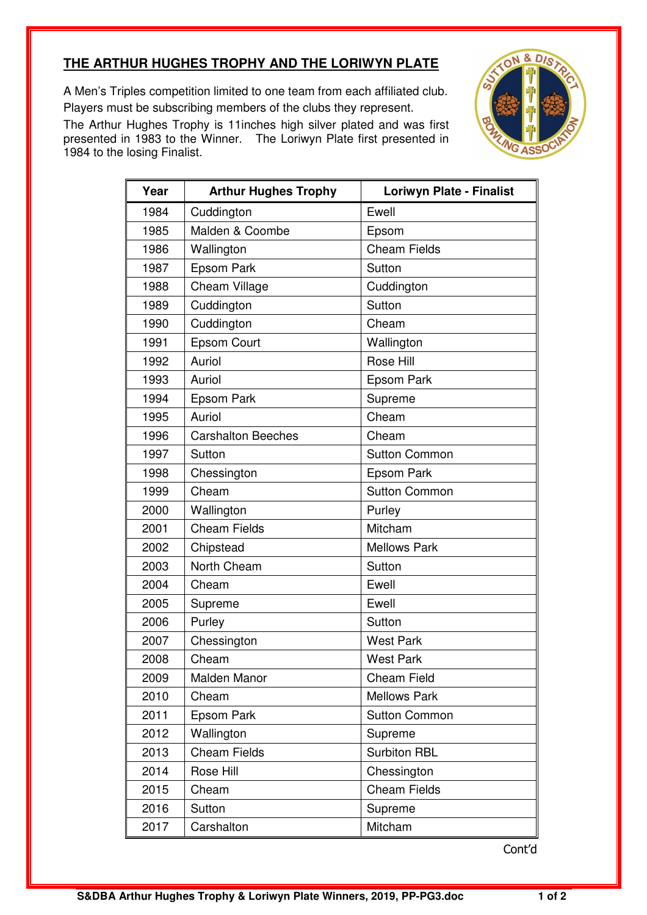## **THE ARTHUR HUGHES TROPHY AND THE LORIWYN PLATE**

A Men's Triples competition limited to one team from each affiliated club. Players must be subscribing members of the clubs they represent.

The Arthur Hughes Trophy is 11inches high silver plated and was first presented in 1983 to the Winner. The Loriwyn Plate first presented in 1984 to the losing Finalist.



| Year | <b>Arthur Hughes Trophy</b> | <b>Loriwyn Plate - Finalist</b> |
|------|-----------------------------|---------------------------------|
| 1984 | Cuddington                  | Ewell                           |
| 1985 | Malden & Coombe             | Epsom                           |
| 1986 | Wallington                  | <b>Cheam Fields</b>             |
| 1987 | Epsom Park                  | Sutton                          |
| 1988 | Cheam Village               | Cuddington                      |
| 1989 | Cuddington                  | Sutton                          |
| 1990 | Cuddington                  | Cheam                           |
| 1991 | <b>Epsom Court</b>          | Wallington                      |
| 1992 | Auriol                      | Rose Hill                       |
| 1993 | Auriol                      | Epsom Park                      |
| 1994 | Epsom Park                  | Supreme                         |
| 1995 | Auriol                      | Cheam                           |
| 1996 | <b>Carshalton Beeches</b>   | Cheam                           |
| 1997 | Sutton                      | <b>Sutton Common</b>            |
| 1998 | Chessington                 | Epsom Park                      |
| 1999 | Cheam                       | <b>Sutton Common</b>            |
| 2000 | Wallington                  | Purley                          |
| 2001 | <b>Cheam Fields</b>         | Mitcham                         |
| 2002 | Chipstead                   | <b>Mellows Park</b>             |
| 2003 | North Cheam                 | Sutton                          |
| 2004 | Cheam                       | Ewell                           |
| 2005 | Supreme                     | Ewell                           |
| 2006 | Purley                      | Sutton                          |
| 2007 | Chessington                 | <b>West Park</b>                |
| 2008 | Cheam                       | <b>West Park</b>                |
| 2009 | Malden Manor                | <b>Cheam Field</b>              |
| 2010 | Cheam                       | <b>Mellows Park</b>             |
| 2011 | Epsom Park                  | <b>Sutton Common</b>            |
| 2012 | Wallington                  | Supreme                         |
| 2013 | <b>Cheam Fields</b>         | <b>Surbiton RBL</b>             |
| 2014 | Rose Hill                   | Chessington                     |
| 2015 | Cheam                       | <b>Cheam Fields</b>             |
| 2016 | Sutton                      | Supreme                         |
| 2017 | Carshalton                  | Mitcham                         |

Cont'd